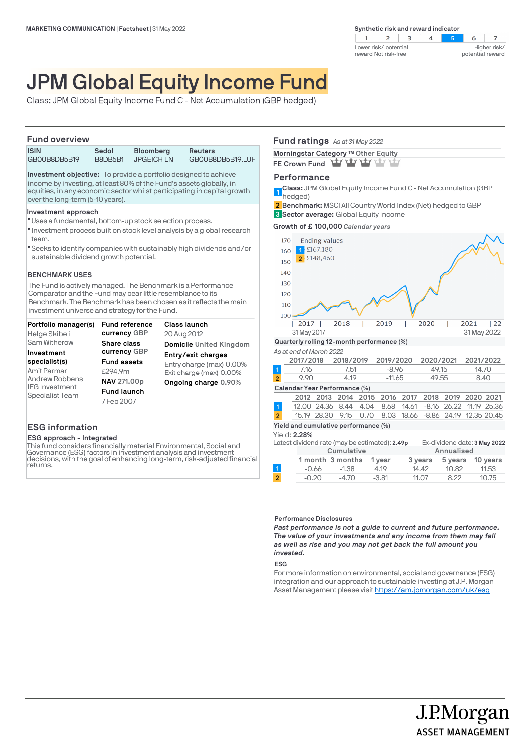

# JPM Global Equity Income Fund

Class: JPM Global Equity Income Fund C - Net Accumulation (GBP hedged)

# **Fund overview**

| <u>I UIIU UVCI VICW</u> |         |                   |                  |  |
|-------------------------|---------|-------------------|------------------|--|
| <b>ISIN</b>             | Sedol   | <b>Bloomberg</b>  | Reuters          |  |
| GB00B8DB5B19            | B8DB5B1 | <b>JPGEICH LN</b> | GB00B8DB5B19.LUF |  |

**Investment objective:** To provide a portfolio designed to achieve income by investing, at least 80% of the Fund's assets globally, in equities, in any economic sector whilst participating in capital growth over the long-term (5-10 years).

#### **Investment approach**

- Uses a fundamental, bottom-up stock selection process. l
- $\bullet$  Investment process built on stock level analysis by a global research team.
- Seeks to identify companies with sustainably high dividends and/or l sustainable dividend growth potential.

# **BENCHMARK USES**

The Fund is actively managed. The Benchmark is a Performance Comparator and the Fund may bear little resemblance to its Benchmark. The Benchmark has been chosen as it reflects the main investment universe and strategy for the Fund.

| Portfolio manager(s)  | Fund reference     | Class launch             |
|-----------------------|--------------------|--------------------------|
| Helge Skibeli         | currency GBP       | 20 Aug 2012              |
| Sam Witherow          | Share class        | Domicile United Kingdom  |
| Investment            | currency GBP       | Entry/exit charges       |
| specialist(s)         | <b>Fund assets</b> | Entry charge (max) 0.00% |
| Amit Parmar           | £294.9m            | Exit charge (max) 0.00%  |
| Andrew Robbens        | NAV 271.00p        | Ongoing charge 0.90%     |
| <b>IEG Investment</b> | <b>Fund launch</b> |                          |
| Specialist Team       | 7 Feb 2007         |                          |

# **ESG information**

#### **ESG approach - Integrated**

This fund considers financially material Environmental, Social and Governance (ESG) factors in investment analysis and investment decisions, with the goal of enhancing long-term, risk-adjusted financial returns.

# **Fund ratings** *As at 31 May 2022*

| Morningstar Category ™ Other Equity |  |
|-------------------------------------|--|
| FE Crown Fund Yay Yay Yay Yay Yay   |  |

# **Performance**

**Class:** JPM Global Equity Income Fund C - Net Accumulation (GBP 1<sup></sup> hedged)

**Benchmark:** MSCI All Country World Index (Net) hedged to GBP **2**

**Sector average:** Global Equity Income **3**

**Growth of £ 100,000** *Calendar years*



| Cumulative |                         |         | Annualised |       |                  |
|------------|-------------------------|---------|------------|-------|------------------|
|            | 1 month 3 months 1 year |         | 3 vears    |       | 5 years 10 years |
| -0.66      | $-1.38$                 | 4.19    | 14.42      | 10.82 | 11.53            |
| $-0.20$    | $-4.70$                 | $-3.81$ | 11.07      | 8.22  | 10.75            |
|            |                         |         |            |       |                  |

## **Performance Disclosures**

*Past performance is not a guide to current and future performance. The value of your investments and any income from them may fall as well as rise and you may not get back the full amount you invested.* 

#### **ESG**

For more information on environmental, social and governance (ESG) integration and our approach to sustainable investing at J.P. Morgan Asset Management please visit https://am.jpmorgan.com/uk/esg

> J.P.Morgan **ASSET MANAGEMENT**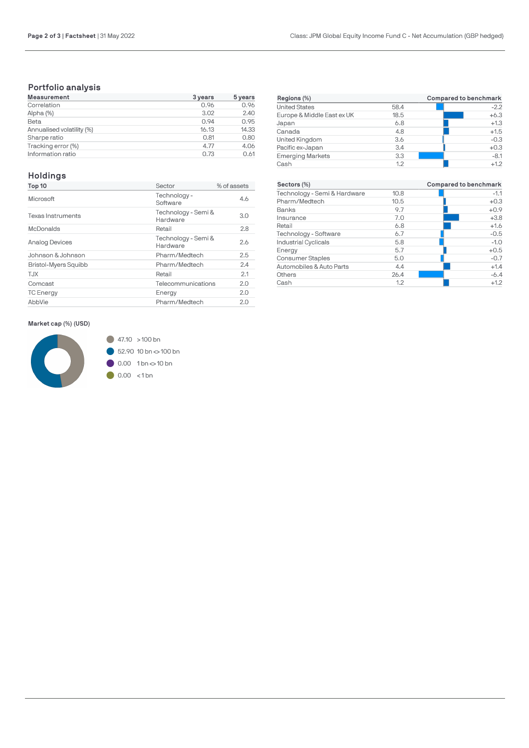# **Portfolio analysis**

| <b>Measurement</b>        | 3 years | 5 years |
|---------------------------|---------|---------|
| Correlation               | 0.96    | 0.96    |
| Alpha (%)                 | 3.02    | 2.40    |
| Beta                      | 0.94    | 0.95    |
| Annualised volatility (%) | 16.13   | 14.33   |
| Sharpe ratio              | 0.81    | 0.80    |
| Tracking error (%)        | 4.77    | 4.06    |
| Information ratio         | 0.73    | 0.61    |

# **Holdings**

| Top 10                      | Sector                          | % of assets |
|-----------------------------|---------------------------------|-------------|
| Microsoft                   | Technology -<br>Software        | 4.6         |
| <b>Texas Instruments</b>    | Technology - Semi &<br>Hardware | 3.0         |
| McDonalds                   | Retail                          | 2.8         |
| <b>Analog Devices</b>       | Technology - Semi &<br>Hardware | 2.6         |
| Johnson & Johnson           | Pharm/Medtech                   | 2.5         |
| <b>Bristol-Myers Squibb</b> | Pharm/Medtech                   | 2.4         |
| T.JX                        | Retail                          | 2.1         |
| Comcast                     | Telecommunications              | 2.0         |
| <b>TC</b> Energy            | Energy                          | 2.0         |
| AbbVie                      | Pharm/Medtech                   | 2.0         |

**Market cap (%) (USD)**



| Regions (%)                |      | Compared to benchmark |
|----------------------------|------|-----------------------|
| <b>United States</b>       | 58.4 | $-2.2$                |
| Europe & Middle East ex UK | 18.5 | $+6.3$                |
| Japan                      | 6.8  | $+1.3$                |
| Canada                     | 4.8  | $+1.5$                |
| United Kingdom             | 3.6  | $-0.3$                |
| Pacific ex-Japan           | 3.4  | $+0.3$                |
| <b>Emerging Markets</b>    | 3.3  | $-8.1$                |
| Cash                       | 1.2  | $+1.2$                |

| Sectors (%)                  |      | Compared to benchmark |
|------------------------------|------|-----------------------|
| Technology - Semi & Hardware | 10.8 | $-1.1$                |
| Pharm/Medtech                | 10.5 | $+0.3$                |
| Banks                        | 9.7  | $+0.9$                |
| Insurance                    | 7.0  | $+3.8$                |
| Retail                       | 6.8  | $+1.6$                |
| Technology - Software        | 6.7  | $-0.5$                |
| <b>Industrial Cyclicals</b>  | 5.8  | $-1.0$                |
| Energy                       | 5.7  | $+0.5$                |
| <b>Consumer Staples</b>      | 5.0  | $-0.7$                |
| Automobiles & Auto Parts     | 4.4  | $+1.4$                |
| Others                       | 26.4 | $-6.4$                |
| Cash                         | 1.2  | $+1.2$                |